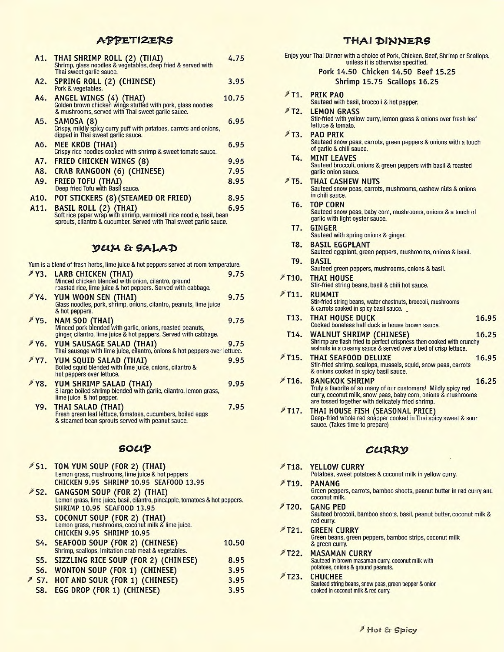#### APPETIZERS

|      | A1. THAI SHRIMP ROLL (2) (THAI)<br>Shrimp, glass noodles & vegetables, deep fried & served with<br>Thai sweet garlic sauce.                                                 | 4.75  |
|------|-----------------------------------------------------------------------------------------------------------------------------------------------------------------------------|-------|
|      | A2. SPRING ROLL (2) (CHINESE)<br>Pork & vegetables.                                                                                                                         | 3.95  |
| A4.  | <b>ANGEL WINGS (4) (THAI)</b><br>Golden brown chicken wings stuffed with pork, glass noodles<br>& mushrooms, served with Thai sweet garlic sauce.                           | 10.75 |
|      | A5. SAMOSA (8)<br>Crispy, mildly spicy curry puff with potatoes, carrots and onions,<br>dipped in Thai sweet garlic sauce.                                                  | 6.95  |
| A6.  | MEE KROB (THAI)<br>Crispy rice noodles cooked with shrimp & sweet tomato sauce.                                                                                             | 6.95  |
| A7.  | <b>FRIED CHICKEN WINGS (8)</b>                                                                                                                                              | 9.95  |
| A8.  | <b>CRAB RANGOON (6) (CHINESE)</b>                                                                                                                                           | 7.95  |
| A9.  | <b>FRIED TOFU (THAI)</b><br>Deep fried Tofu with Basil sauce.                                                                                                               | 8.95  |
| A10. | POT STICKERS (8) (STEAMED OR FRIED)                                                                                                                                         | 8.95  |
| A11. | <b>BASIL ROLL (2) (THAI)</b><br>Soft rice paper wrap with shrimp, vermicelli rice noodle, basil, bean<br>sprouts, cilantro & cucumber. Served with Thai sweet garlic sauce. | 6.95  |
|      |                                                                                                                                                                             |       |

# V(tM & **GALAT**,

| Yum is a blend of fresh herbs, lime juice & hot peppers served at room temperature.                                                                 |      |
|-----------------------------------------------------------------------------------------------------------------------------------------------------|------|
| Y3. LARB CHICKEN (THAI)<br>Minced chicken blended with onion, cilantro, ground<br>roasted rice, lime juice & hot peppers. Served with cabbage.      | 9.75 |
| Y4. YUM WOON SEN (THAI)<br>Glass noodles, pork, shrimp, onions, cilantro, peanuts, lime juice<br>& hot peppers.                                     | 9.75 |
| Y5. NAM SOD (THAI)<br>Minced pork blended with garlic, onions, roasted peanuts,<br>ginger, cilantro, lime juice & hot peppers. Served with cabbage. | 9.75 |
| Y6. YUM SAUSAGE SALAD (THAI)<br>Thai sausage with lime juice, cilantro, onions & hot peppers over lettuce.                                          | 9.75 |
| <b>FY7. YUM SQUID SALAD (THAI)</b><br>Boiled squid blended with lime juice, onions, cilantro &<br>hot peppers over lettuce.                         | 9.95 |
| Y8. YUM SHRIMP SALAD (THAI)<br>8 large boiled shrimp blended with garlic, cilantro, lemon grass,<br>lime juice & hot pepper.                        | 9.95 |
| Y9. THAI SALAD (THAI)<br>Fresh green leaf lettuce, tomatoes, cucumbers, boiled eggs<br>& steamed bean sprouts served with peanut sauce.             | 7.95 |

### **goup**

| S1. TOM YUM SOUP (FOR 2) (THAI)<br>Lemon grass, mushrooms, lime juice & hot peppers<br><b>CHICKEN 9.95 SHRIMP 10.95 SEAFOOD 13.95</b>                |       |
|------------------------------------------------------------------------------------------------------------------------------------------------------|-------|
| S2. GANGSOM SOUP (FOR 2) (THAI)<br>Lemon grass, lime juice, basil, cilantro, pineapple, tomatoes & hot peppers.<br><b>SHRIMP 10.95 SEAF00D 13.95</b> |       |
| S3. COCONUT SOUP (FOR 2) (THAI)<br>Lemon grass, mushrooms, coconut milk & lime juice.<br>CHICKEN 9.95 SHRIMP 10.95                                   |       |
| S4. SEAFOOD SOUP (FOR 2) (CHINESE)<br>Shrimp, scallops, imitation crab meat & vegetables.                                                            | 10.50 |
| S5. SIZZLING RICE SOUP (FOR 2) (CHINESE)                                                                                                             | 8.95  |
| S6. WONTON SOUP (FOR 1) (CHINESE)                                                                                                                    | 3.95  |
| S7. HOT AND SOUR (FOR 1) (CHINESE)                                                                                                                   | 3.95  |
| S8. EGG DROP (FOR 1) (CHINESE)                                                                                                                       | 3.95  |

# THAI DINNERS

|                    | Enjoy your Thai Dinner with a choice of Pork, Chicken, Beef, Shrimp or Scallops,<br>unless it is otherwise specified.                                                                                                  |
|--------------------|------------------------------------------------------------------------------------------------------------------------------------------------------------------------------------------------------------------------|
|                    | Pork 14.50 Chicken 14.50 Beef 15.25                                                                                                                                                                                    |
|                    | Shrimp 15.75 Scallops 16.25                                                                                                                                                                                            |
|                    | T1. PRIK PAO<br>Sauteed with basil, broccoli & hot pepper.                                                                                                                                                             |
| $*$ T2.            | <b>LEMON GRASS</b><br>Stir-fried with yellow curry, lemon grass & onions over fresh leaf<br>lettuce & tomato.                                                                                                          |
| /T3.               | <b>PAD PRIK</b><br>Sauteed snow peas, carrots, green peppers & onions with a touch<br>of garlic & chili sauce.                                                                                                         |
| T4.                | <b>MINT LEAVES</b><br>Sauteed broccoli, onions & green peppers with basil & roasted<br>garlic onion sauce.                                                                                                             |
| <b>≯T5.</b>        | <b>THAI CASHEW NUTS</b><br>Sauteed snow peas, carrots, mushrooms, cashew nuts & onions<br>in chili sauce.                                                                                                              |
| T <sub>6</sub> .   | <b>TOP CORN</b><br>Sauteed snow peas, baby corn, mushrooms, onions & a touch of<br>garlic with light oyster sauce.                                                                                                     |
| T7.                | <b>GINGER</b><br>Sauteed with spring onions & ginger.                                                                                                                                                                  |
| T8.                | <b>BASIL EGGPLANT</b><br>Sauteed eggplant, green peppers, mushrooms, onions & basil.                                                                                                                                   |
| T9.                | <b>BASIL</b><br>Sauteed green peppers, mushrooms, onions & basil.                                                                                                                                                      |
| /T10.              | THAI HOUSE<br>Stir-fried string beans, basil & chili hot sauce.                                                                                                                                                        |
| $\times 711.$      | <b>RUMMIT</b><br>Stir-fried string beans, water chestnuts, broccoli, mushrooms<br>& carrots cooked in spicy basil sauce.                                                                                               |
| T <sub>13</sub> .  | <b>THAI HOUSE DUCK</b><br>16.95<br>Cooked boneless half duck in house brown sauce.                                                                                                                                     |
| T <sub>14</sub> .  | <b>WALNUT SHRIMP (CHINESE)</b><br>16.25<br>Shrimp are flash fried to perfect crispness then cooked with crunchy<br>walnuts in a creamy sauce & served over a bed of crisp lettuce.                                     |
| ₹T15.              | <b>THAI SEAFOOD DELUXE</b><br>16.95<br>Stir-fried shrimp, scallops, mussels, squid, snow peas, carrots<br>& onions cooked in spicy basil sauce.                                                                        |
| PT <sub>16</sub> . | <b>BANGKOK SHRIMP</b><br>16.25<br>Truly a favorite of so many of our customers! Mildly spicy red<br>curry, coconut milk, snow peas, baby corn, onions & mushrooms<br>are tossed together with delicately fried shrimp. |
| <b>#T17.</b>       | <b>THAI HOUSE FISH (SEASONAL PRICE)</b><br>Deep-fried whole red snapper cooked in Thai spicy sweet & sour<br>sauce. (Takes time to prepare)                                                                            |
|                    | CURRY                                                                                                                                                                                                                  |
| /T18.              | <b>YELLOW CURRY</b><br>Potatoes, sweet potatoes & coconut milk in yellow curry.                                                                                                                                        |
| /T19.              | <b>PANANG</b><br>Green peppers, carrots, bamboo shoots, peanut butter in red curry and<br>coconut milk.                                                                                                                |
| ₹T20.              | <b>GANG PED</b><br>Sauteed broccoli, bamboo shoots, basil, peanut butter, coconut milk &<br>red curry.                                                                                                                 |
| PT21.              | <b>GREEN CURRY</b><br>Green beans, green peppers, bamboo strips, coconut milk<br>& green curry.                                                                                                                        |
| <b>FT22.</b>       | <b>MASAMAN CURRY</b><br>Sauteed in brown masaman curry, coconut milk with<br>potatoes, onions & ground peanuts.                                                                                                        |
|                    | <b>CULLOUTE</b>                                                                                                                                                                                                        |

# 1T23. CHUCHEE Sauteed string beans, snow peas, green pepper & onion cooked in coconut milk & red curry.